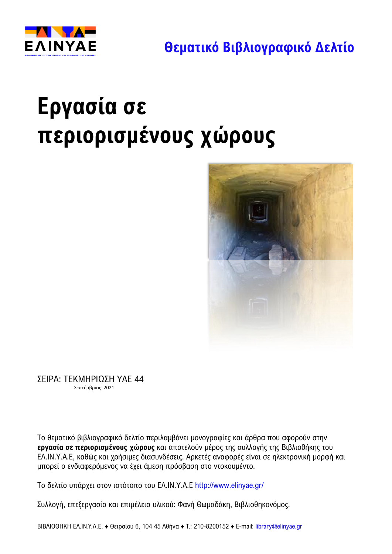



# **Εργασία σε περιορισμένους χώρους**



ΣΕΙΡΑ: ΤΕΚΜΗΡΙΩΣΗ ΥΑΕ 44 Σεπτέμβριος 2021

Το θεματικό βιβλιογραφικό δελτίο περιλαμβάνει μονογραφίες και άρθρα που αφορούν στην **εργασία σε περιορισμένους χώρους** και αποτελούν μέρος της συλλογής της Βιβλιοθήκης του ΕΛ.ΙΝ.Υ.Α.Ε, καθώς και χρήσιμες διασυνδέσεις. Αρκετές αναφορές είναι σε ηλεκτρονική μορφή και μπορεί ο ενδιαφερόμενος να έχει άμεση πρόσβαση στο ντοκουμέντο.

Το δελτίο υπάρχει στoν ιστότοπο του ΕΛ.ΙΝ.Υ.Α.Ε <http://www.elinyae.gr/>

Συλλογή, επεξεργασία και επιμέλεια υλικού: Φανή Θωμαδάκη, Βιβλιοθηκονόμος.

ΒΙΒΛΙΟΘΗΚΗ ΕΛ.ΙΝ.Υ.Α.Ε. ♦ Θειρσίου 6, 104 45 Αθήνα ♦ Τ.: 210-8200152 ♦ Ε-mail: [library@elinyae.gr](mailto:library@elinyae.gr)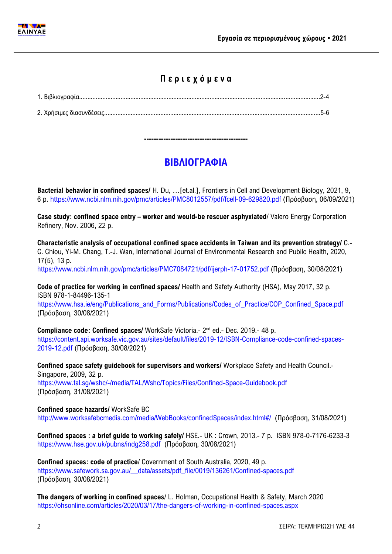

### **Π ε ρ ι ε χ ό μ ε ν α**

**-------------------------------------------**

## **ΒΙΒΛΙΟΓΡΑΦΙΑ**

**Bacterial behavior in confined spaces/** H. Du, …[et.al.], Frontiers in Cell and Development Biology, 2021, 9, 6 p.<https://www.ncbi.nlm.nih.gov/pmc/articles/PMC8012557/pdf/fcell-09-629820.pdf> (Πρόσβαση, 06/09/2021)

**Case study: confined space entry – worker and would-be rescuer asphyxiated/ Valero Energy Corporation** Refinery, Nov. 2006, 22 p.

**Characteristic analysis of occupational confined space accidents in Taiwan and its prevention strategy/** C.- C. Chiou, Yi-M. Chang, T.-J. Wan, International Journal of Environmental Research and Pubilc Health, 2020, 17(5), 13 p.

<https://www.ncbi.nlm.nih.gov/pmc/articles/PMC7084721/pdf/ijerph-17-01752.pdf> (Πρόσβαση, 30/08/2021)

**Code of practice for working in confined spaces/** Health and Safety Authority (HSA), May 2017, 32 p. ISBN 978-1-84496-135-1

[https://www.hsa.ie/eng/Publications\\_and\\_Forms/Publications/Codes\\_of\\_Practice/COP\\_Confined\\_Space.pdf](https://www.hsa.ie/eng/Publications_and_Forms/Publications/Codes_of_Practice/COP_Confined_Space.pdf) (Πρόσβαση, 30/08/2021)

Compliance code: Confined spaces/ WorkSafe Victoria.- 2<sup>nd</sup> ed.- Dec. 2019.- 48 p. [https://content.api.worksafe.vic.gov.au/sites/default/files/2019-12/ISBN-Compliance-code-confined-spaces-](https://content.api.worksafe.vic.gov.au/sites/default/files/2019-12/ISBN-Compliance-code-confined-spaces-2019-12.pdf)

[2019-12.pdf](https://content.api.worksafe.vic.gov.au/sites/default/files/2019-12/ISBN-Compliance-code-confined-spaces-2019-12.pdf) (Πρόσβαση, 30/08/2021) **Confined space safety guidebook for supervisors and workers/** Workplace Safety and Health Council.-

Singapore, 2009, 32 p. <https://www.tal.sg/wshc/-/media/TAL/Wshc/Topics/Files/Confined-Space-Guidebook.pdf> (Πρόσβαση, 31/08/2021)

#### **Confined space hazards/** WorkSafe BC

<http://www.worksafebcmedia.com/media/WebBooks/confinedSpaces/index.html#/>(Πρόσβαση, 31/08/2021)

**Confined spaces : a brief guide to working safely/** HSE.- UK : Crown, 2013.- 7 p. ISBN 978-0-7176-6233-3 <https://www.hse.gov.uk/pubns/indg258.pdf>(Πρόσβαση, 30/08/2021)

**Confined spaces: code of practice**/ Covernment of South Australia, 2020, 49 p. [https://www.safework.sa.gov.au/\\_\\_data/assets/pdf\\_file/0019/136261/Confined-spaces.pdf](https://www.safework.sa.gov.au/__data/assets/pdf_file/0019/136261/Confined-spaces.pdf)  (Πρόσβαση, 30/08/2021)

**The dangers of working in confined spaces**/ L. Holman, Occupational Health & Safety, March 2020 <https://ohsonline.com/articles/2020/03/17/the-dangers-of-working-in-confined-spaces.aspx>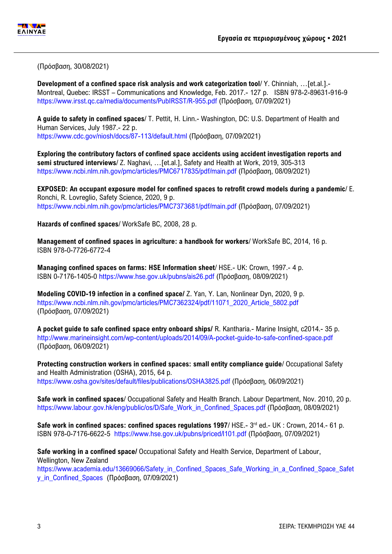

(Πρόσβαση, 30/08/2021)

**Development of a confined space risk analysis and work categorization tool**/ Y. Chinniah, …[et.al.].- Montreal, Quebec: IRSST – Communications and Knowledge, Feb. 2017.- 127 p. ISBN 978-2-89631-916-9 <https://www.irsst.qc.ca/media/documents/PubIRSST/R-955.pdf> (Πρόσβαση, 07/09/2021)

**A guide to safety in confined spaces**/ T. Pettit, H. Linn.- Washington, DC: U.S. Department of Health and Human Services, July 1987.- 22 p. <https://www.cdc.gov/niosh/docs/87-113/default.html> (Πρόσβαση, 07/09/2021)

**Exploring the contributory factors of confined space accidents using accident investigation reports and semi structured interviews**/ Z. Naghavi, …[et.al.], Safety and Health at Work, 2019, 305-313 <https://www.ncbi.nlm.nih.gov/pmc/articles/PMC6717835/pdf/main.pdf> (Πρόσβαση, 08/09/2021)

**EXPOSED: An occupant exposure model for confined spaces to retrofit crowd models during a pandemic**/ E. Ronchi, R. Lovreglio, Safety Science, 2020, 9 p. <https://www.ncbi.nlm.nih.gov/pmc/articles/PMC7373681/pdf/main.pdf> (Πρόσβαση, 07/09/2021)

**Hazards of confined spaces**/ WorkSafe BC, 2008, 28 p.

**Management of confined spaces in agriculture: a handbook for workers**/ WorkSafe BC, 2014, 16 p. ISBN 978-0-7726-6772-4

**Managing confined spaces on farms: HSE Information sheet**/ HSE.- UK: Crown, 1997.- 4 p. ISBN 0-7176-1405-0 <https://www.hse.gov.uk/pubns/ais26.pdf> (Πρόσβαση, 08/09/2021)

**Modeling COVID-19 infection in a confined space/** Z. Yan, Y. Lan, Nonlinear Dyn, 2020, 9 p. [https://www.ncbi.nlm.nih.gov/pmc/articles/PMC7362324/pdf/11071\\_2020\\_Article\\_5802.pdf](https://www.ncbi.nlm.nih.gov/pmc/articles/PMC7362324/pdf/11071_2020_Article_5802.pdf) (Πρόσβαση, 07/09/2021)

**A pocket guide to safe confined space entry onboard ships/** R. Kantharia.- Marine Insight, c2014.- 35 p. <http://www.marineinsight.com/wp-content/uploads/2014/09/A-pocket-guide-to-safe-confined-space.pdf> (Πρόσβαση, 06/09/2021)

**Protecting construction workers in confined spaces: small entity compliance guide**/ Occupational Safety and Health Administration (OSHA), 2015, 64 p. <https://www.osha.gov/sites/default/files/publications/OSHA3825.pdf> (Πρόσβαση, 06/09/2021)

**Safe work in confined spaces**/ Occupational Safety and Health Branch. Labour Department, Nov. 2010, 20 p. [https://www.labour.gov.hk/eng/public/os/D/Safe\\_Work\\_in\\_Confined\\_Spaces.pdf](https://www.labour.gov.hk/eng/public/os/D/Safe_Work_in_Confined_Spaces.pdf) (Πρόσβαση, 08/09/2021)

Safe work in confined spaces: confined spaces regulations 1997/ HSE.- 3<sup>rd</sup> ed.- UK: Crown, 2014.- 61 p. ISBN 978-0-7176-6622-5 <https://www.hse.gov.uk/pubns/priced/l101.pdf> (Πρόσβαση, 07/09/2021)

**Safe working in a confined space/** Occupational Safety and Health Service, Department of Labour, Wellington, New Zealand

[https://www.academia.edu/13669066/Safety\\_in\\_Confined\\_Spaces\\_Safe\\_Working\\_in\\_a\\_Confined\\_Space\\_Safet](https://www.academia.edu/13669066/Safety_in_Confined_Spaces_Safe_Working_in_a_Confined_Space_Safety_in_Confined_Spaces) [y\\_in\\_Confined\\_Spaces](https://www.academia.edu/13669066/Safety_in_Confined_Spaces_Safe_Working_in_a_Confined_Space_Safety_in_Confined_Spaces) (Πρόσβαση, 07/09/2021)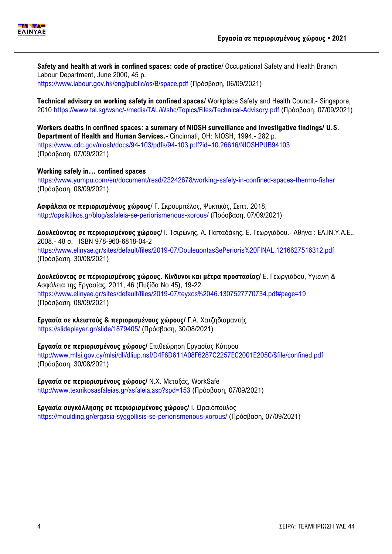

**Safety and health at work in confined spaces: code of practice**/ Occupational Safety and Health Branch Labour Department, June 2000, 45 p. <https://www.labour.gov.hk/eng/public/os/B/space.pdf> (Πρόσβαση, 06/09/2021)

**Technical advisory on working safety in confined spaces**/ Workplace Safety and Health Council.- Singapore, 2010 <https://www.tal.sg/wshc/-/media/TAL/Wshc/Topics/Files/Technical-Advisory.pdf> (Πρόσβαση, 07/09/2021)

**Workers deaths in confined spaces: a summary of NIOSH surveillance and investigative findings/ U.S. Department of Health and Human Services.-** Cincinnati, OH: NIOSH, 1994.- 282 p. <https://www.cdc.gov/niosh/docs/94-103/pdfs/94-103.pdf?id=10.26616/NIOSHPUB94103> (Πρόσβαση, 07/09/2021)

**Working safely in… confined spaces** <https://www.yumpu.com/en/document/read/23242678/working-safely-in-confined-spaces-thermo-fisher> (Πρόσβαση, 08/09/2021)

**Ασφάλεια σε περιορισμένους χώρους**/ Γ. Σκρουμπέλος, Ψυκτικός, Σεπτ. 2018, <http://opsiktikos.gr/blog/asfaleia-se-periorismenous-xorous/> (Πρόσβαση, 07/09/2021)

**Δουλεύοντας σε περιορισμένους χώρους/** Ι. Τσιρώνης, Α. Παπαδάκης, Ε. Γεωργιάδου.- Αθήνα : ΕΛ.ΙΝ.Υ.Α.Ε., 2008.- 48 σ. ISBN 978-960-6818-04-2 <https://www.elinyae.gr/sites/default/files/2019-07/DouleuontasSePerioris%20FINAL.1216627516312.pdf> (Πρόσβαση, 30/08/2021)

**Δουλεύοντας σε περιορισμένους χώρους. Κίνδυνοι και μέτρα προστασίας/** Ε. Γεωργιάδου, Υγιεινή & Ασφάλεια της Εργασίας, 2011, 46 (Πυξίδα Νο 45), 19-22 <https://www.elinyae.gr/sites/default/files/2019-07/teyxos%2046.1307527770734.pdf#page=19> (Πρόσβαση, 08/09/2021)

**Εργασία σε κλειστούς & περιορισμένους χώρους/** Γ.Α. Χατζηδιαμαντής <https://slideplayer.gr/slide/1879405/> (Πρόσβαση, 30/08/2021)

**Εργασία σε περιορισμένους χώρους/** Επιθεώρηση Εργασίας Κύπρου [http://www.mlsi.gov.cy/mlsi/dli/dliup.nsf/D4F6D611A08F6287C2257EC2001E205C/\\$file/confined.pdf](http://www.mlsi.gov.cy/mlsi/dli/dliup.nsf/D4F6D611A08F6287C2257EC2001E205C/$file/confined.pdf) (Πρόσβαση, 30/08/2021)

**Εργασία σε περιορισμένους χώρους/** Ν.Χ. Μεταξάς, WorkSafe <http://www.texnikosasfaleias.gr/asfaleia.asp?spd=153> (Πρόσβαση, 07/09/2021)

**Εργασία συγκόλλησης σε περιορισμένους χώρους/** Ι. Ωραιόπουλος <https://moulding.gr/ergasia-syggollisis-se-periorismenous-xorous/> (Πρόσβαση, 07/09/2021)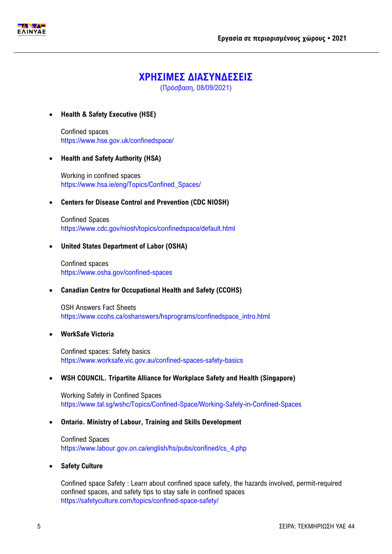

## **ΧΡΗΣΙΜΕΣ ΔΙΑΣΥΝΔΕΣΕΙΣ**

(Πρόσβαση, 08/09/2021)

#### **Health & Safety Executive (HSE)**

Confined spaces <https://www.hse.gov.uk/confinedspace/>

#### **Health and Safety Authority (HSA)**

Working in confined spaces [https://www.hsa.ie/eng/Topics/Confined\\_Spaces/](https://www.hsa.ie/eng/Topics/Confined_Spaces/)

#### **Centers for Disease Control and Prevention (CDC NIOSH)**

Confined Spaces <https://www.cdc.gov/niosh/topics/confinedspace/default.html>

#### **United States Department of Labor (OSHA)**

Confined spaces <https://www.osha.gov/confined-spaces>

#### **Canadian Centre for Occupational Health and Safety (CCOHS)**

OSH Answers Fact Sheets [https://www.ccohs.ca/oshanswers/hsprograms/confinedspace\\_intro.html](https://www.ccohs.ca/oshanswers/hsprograms/confinedspace_intro.html)

#### **WorkSafe Victoria**

Confined spaces: Safety basics <https://www.worksafe.vic.gov.au/confined-spaces-safety-basics>

#### **WSH COUNCIL. Tripartite Alliance for Workplace Safety and Health (Singapore)**

Working Safely in Confined Spaces <https://www.tal.sg/wshc/Topics/Confined-Space/Working-Safely-in-Confined-Spaces>

#### **Ontario. Ministry of Labour, Training and Skills Development**

Confined Spaces [https://www.labour.gov.on.ca/english/hs/pubs/confined/cs\\_4.php](https://www.labour.gov.on.ca/english/hs/pubs/confined/cs_4.php)

#### **Safety Culture**

Confined space Safety : Learn about confined space safety, the hazards involved, permit-required confined spaces, and safety tips to stay safe in confined spaces <https://safetyculture.com/topics/confined-space-safety/>